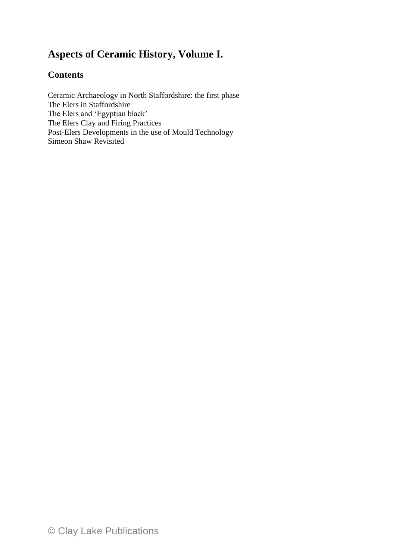## **Aspects of Ceramic History, Volume I.**

### **Contents**

Ceramic Archaeology in North Staffordshire: the first phase The Elers in Staffordshire The Elers and 'Egyptian black' The Elers Clay and Firing Practices Post-Elers Developments in the use of Mould Technology Simeon Shaw Revisited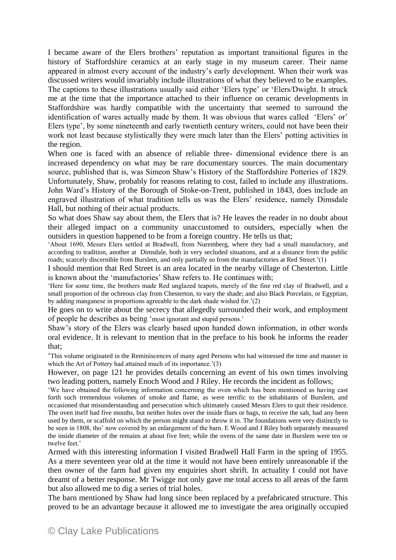I became aware of the Elers brothers' reputation as important transitional figures in the history of Staffordshire ceramics at an early stage in my museum career. Their name appeared in almost every account of the industry's early development. When their work was discussed writers would invariably include illustrations of what they believed to be examples. The captions to these illustrations usually said either 'Elers type' or 'Elers/Dwight. It struck me at the time that the importance attached to their influence on ceramic developments in Staffordshire was hardly compatible with the uncertainty that seemed to surround the identification of wares actually made by them. It was obvious that wares called 'Elers' or' Elers type', by some nineteenth and early twentieth century writers, could not have been their work not least because stylistically they were much later than the Elers' potting activities in the region.

When one is faced with an absence of reliable three- dimensional evidence there is an increased dependency on what may be rare documentary sources. The main documentary source, published that is, was Simeon Shaw's History of the Staffordshire Potteries of 1829. Unfortunately, Shaw, probably for reasons relating to cost, failed to include any illustrations. John Ward's History of the Borough of Stoke-on-Trent, published in 1843, does include an engraved illustration of what tradition tells us was the Elers' residence, namely Dimsdale Hall, but nothing of their actual products.

So what does Shaw say about them, the Elers that is? He leaves the reader in no doubt about their alleged impact on a community unaccustomed to outsiders, especially when the outsiders in question happened to be from a foreign country. He tells us that;

'About 1690, Messrs Elers settled at Bradwell, from Nuremberg, where they had a small manufactory, and according to tradition, another at Dimsdale, both in very secluded situations, and at a distance from the public roads; scarcely discernible from Burslem, and only partially so from the manufactories at Red Street.'(1)

I should mention that Red Street is an area located in the nearby village of Chesterton. Little is known about the 'manufactories' Shaw refers to. He continues with;

'Here for some time, the brothers made Red unglazed teapots, merely of the fine red clay of Bradwell, and a small proportion of the ochreous clay from Chesterton, to vary the shade; and also Black Porcelain, or Egyptian, by adding manganese in proportions agreeable to the dark shade wished for.'(2)

He goes on to write about the secrecy that allegedly surrounded their work, and employment of people he describes as being 'most ignorant and stupid persons.'

Shaw's story of the Elers was clearly based upon handed down information, in other words oral evidence. It is relevant to mention that in the preface to his book he informs the reader that;

'This volume originated in the Reminiscences of many aged Persons who had witnessed the time and manner in which the Art of Pottery had attained much of its importance.'(3)

However, on page 121 he provides details concerning an event of his own times involving two leading potters, namely Enoch Wood and J Riley. He records the incident as follows;

'We have obtained the following information concerning the oven which has been mentioned as having cast forth such tremendous volumes of smoke and flame, as were terrific to the inhabitants of Burslem, and occasioned that misunderstanding and persecution which ultimately caused Messrs Elers to quit their residence. The oven itself had five mouths, but neither holes over the inside flues or bags, to receive the salt, had any been used by them, or scaffold on which the person might stand to throw it in. The foundations were very distinctly to be seen in 1808, tho' now covered by an enlargement of the barn. E Wood and J Riley both separately measured the inside diameter of the remains at about five feet; while the ovens of the same date in Burslem were ten or twelve feet.'

Armed with this interesting information I visited Bradwell Hall Farm in the spring of 1955. As a mere seventeen year old at the time it would not have been entirely unreasonable if the then owner of the farm had given my enquiries short shrift. In actuality I could not have dreamt of a better response. Mr Twigge not only gave me total access to all areas of the farm but also allowed me to dig a series of trial holes.

The barn mentioned by Shaw had long since been replaced by a prefabricated structure. This proved to be an advantage because it allowed me to investigate the area originally occupied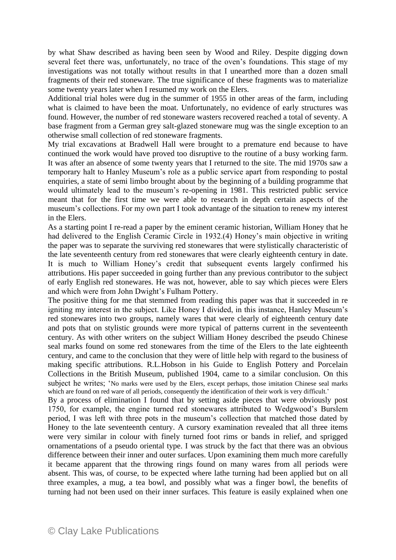by what Shaw described as having been seen by Wood and Riley. Despite digging down several feet there was, unfortunately, no trace of the oven's foundations. This stage of my investigations was not totally without results in that I unearthed more than a dozen small fragments of their red stoneware. The true significance of these fragments was to materialize some twenty years later when I resumed my work on the Elers.

Additional trial holes were dug in the summer of 1955 in other areas of the farm, including what is claimed to have been the moat. Unfortunately, no evidence of early structures was found. However, the number of red stoneware wasters recovered reached a total of seventy. A base fragment from a German grey salt-glazed stoneware mug was the single exception to an otherwise small collection of red stoneware fragments.

My trial excavations at Bradwell Hall were brought to a premature end because to have continued the work would have proved too disruptive to the routine of a busy working farm. It was after an absence of some twenty years that I returned to the site. The mid 1970s saw a temporary halt to Hanley Museum's role as a public service apart from responding to postal enquiries, a state of semi limbo brought about by the beginning of a building programme that would ultimately lead to the museum's re-opening in 1981. This restricted public service meant that for the first time we were able to research in depth certain aspects of the museum's collections. For my own part I took advantage of the situation to renew my interest in the Elers.

As a starting point I re-read a paper by the eminent ceramic historian, William Honey that he had delivered to the English Ceramic Circle in 1932.(4) Honey's main objective in writing the paper was to separate the surviving red stonewares that were stylistically characteristic of the late seventeenth century from red stonewares that were clearly eighteenth century in date. It is much to William Honey's credit that subsequent events largely confirmed his attributions. His paper succeeded in going further than any previous contributor to the subject of early English red stonewares. He was not, however, able to say which pieces were Elers and which were from John Dwight's Fulham Pottery.

The positive thing for me that stemmed from reading this paper was that it succeeded in re igniting my interest in the subject. Like Honey I divided, in this instance, Hanley Museum's red stonewares into two groups, namely wares that were clearly of eighteenth century date and pots that on stylistic grounds were more typical of patterns current in the seventeenth century. As with other writers on the subject William Honey described the pseudo Chinese seal marks found on some red stonewares from the time of the Elers to the late eighteenth century, and came to the conclusion that they were of little help with regard to the business of making specific attributions. R.L.Hobson in his Guide to English Pottery and Porcelain Collections in the British Museum, published 1904, came to a similar conclusion. On this subject he writes; 'No marks were used by the Elers, except perhaps, those imitation Chinese seal marks which are found on red ware of all periods, consequently the identification of their work is very difficult.'

By a process of elimination I found that by setting aside pieces that were obviously post 1750, for example, the engine turned red stonewares attributed to Wedgwood's Burslem period, I was left with three pots in the museum's collection that matched those dated by Honey to the late seventeenth century. A cursory examination revealed that all three items were very similar in colour with finely turned foot rims or bands in relief, and sprigged ornamentations of a pseudo oriental type. I was struck by the fact that there was an obvious difference between their inner and outer surfaces. Upon examining them much more carefully it became apparent that the throwing rings found on many wares from all periods were absent. This was, of course, to be expected where lathe turning had been applied but on all three examples, a mug, a tea bowl, and possibly what was a finger bowl, the benefits of turning had not been used on their inner surfaces. This feature is easily explained when one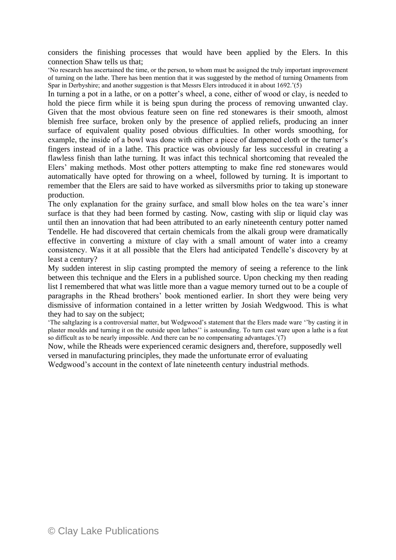considers the finishing processes that would have been applied by the Elers. In this connection Shaw tells us that;

'No research has ascertained the time, or the person, to whom must be assigned the truly important improvement of turning on the lathe. There has been mention that it was suggested by the method of turning Ornaments from Spar in Derbyshire; and another suggestion is that Messrs Elers introduced it in about  $1692$ .'(5)

In turning a pot in a lathe, or on a potter's wheel, a cone, either of wood or clay, is needed to hold the piece firm while it is being spun during the process of removing unwanted clay. Given that the most obvious feature seen on fine red stonewares is their smooth, almost blemish free surface, broken only by the presence of applied reliefs, producing an inner surface of equivalent quality posed obvious difficulties. In other words smoothing, for example, the inside of a bowl was done with either a piece of dampened cloth or the turner's fingers instead of in a lathe. This practice was obviously far less successful in creating a flawless finish than lathe turning. It was infact this technical shortcoming that revealed the Elers' making methods. Most other potters attempting to make fine red stonewares would automatically have opted for throwing on a wheel, followed by turning. It is important to remember that the Elers are said to have worked as silversmiths prior to taking up stoneware production.

The only explanation for the grainy surface, and small blow holes on the tea ware's inner surface is that they had been formed by casting. Now, casting with slip or liquid clay was until then an innovation that had been attributed to an early nineteenth century potter named Tendelle. He had discovered that certain chemicals from the alkali group were dramatically effective in converting a mixture of clay with a small amount of water into a creamy consistency. Was it at all possible that the Elers had anticipated Tendelle's discovery by at least a century?

My sudden interest in slip casting prompted the memory of seeing a reference to the link between this technique and the Elers in a published source. Upon checking my then reading list I remembered that what was little more than a vague memory turned out to be a couple of paragraphs in the Rhead brothers' book mentioned earlier. In short they were being very dismissive of information contained in a letter written by Josiah Wedgwood. This is what they had to say on the subject;

'The saltglazing is a controversial matter, but Wedgwood's statement that the Elers made ware ''by casting it in plaster moulds and turning it on the outside upon lathes'' is astounding. To turn cast ware upon a lathe is a feat so difficult as to be nearly impossible. And there can be no compensating advantages.'(7)

Now, while the Rheads were experienced ceramic designers and, therefore, supposedly well versed in manufacturing principles, they made the unfortunate error of evaluating

Wedgwood's account in the context of late nineteenth century industrial methods.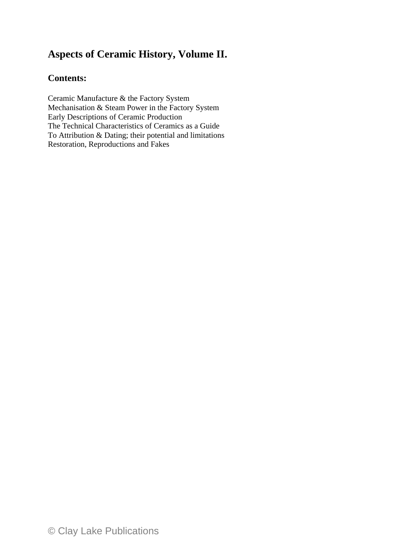# **Aspects of Ceramic History, Volume II.**

#### **Contents:**

Ceramic Manufacture & the Factory System Mechanisation & Steam Power in the Factory System Early Descriptions of Ceramic Production The Technical Characteristics of Ceramics as a Guide To Attribution & Dating; their potential and limitations Restoration, Reproductions and Fakes